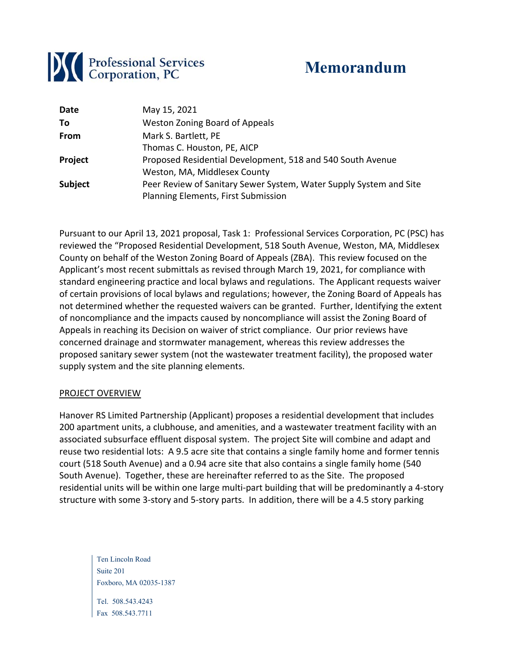

# **Memorandum**

| Date           | May 15, 2021                                                       |
|----------------|--------------------------------------------------------------------|
| Τo             | <b>Weston Zoning Board of Appeals</b>                              |
| From           | Mark S. Bartlett, PE                                               |
|                | Thomas C. Houston, PE, AICP                                        |
| <b>Project</b> | Proposed Residential Development, 518 and 540 South Avenue         |
|                | Weston, MA, Middlesex County                                       |
| <b>Subject</b> | Peer Review of Sanitary Sewer System, Water Supply System and Site |
|                | Planning Elements, First Submission                                |

Pursuant to our April 13, 2021 proposal, Task 1: Professional Services Corporation, PC (PSC) has reviewed the "Proposed Residential Development, 518 South Avenue, Weston, MA, Middlesex County on behalf of the Weston Zoning Board of Appeals (ZBA). This review focused on the Applicant's most recent submittals as revised through March 19, 2021, for compliance with standard engineering practice and local bylaws and regulations. The Applicant requests waiver of certain provisions of local bylaws and regulations; however, the Zoning Board of Appeals has not determined whether the requested waivers can be granted. Further, Identifying the extent of noncompliance and the impacts caused by noncompliance will assist the Zoning Board of Appeals in reaching its Decision on waiver of strict compliance. Our prior reviews have concerned drainage and stormwater management, whereas this review addresses the proposed sanitary sewer system (not the wastewater treatment facility), the proposed water supply system and the site planning elements.

#### PROJECT OVERVIEW

Hanover RS Limited Partnership (Applicant) proposes a residential development that includes 200 apartment units, a clubhouse, and amenities, and a wastewater treatment facility with an associated subsurface effluent disposal system. The project Site will combine and adapt and reuse two residential lots: A 9.5 acre site that contains a single family home and former tennis court (518 South Avenue) and a 0.94 acre site that also contains a single family home (540 South Avenue). Together, these are hereinafter referred to as the Site. The proposed residential units will be within one large multi‐part building that will be predominantly a 4‐story structure with some 3‐story and 5‐story parts. In addition, there will be a 4.5 story parking

Ten Lincoln Road Suite 201 Foxboro, MA 02035-1387 Tel. 508.543.4243 Fax 508.543.7711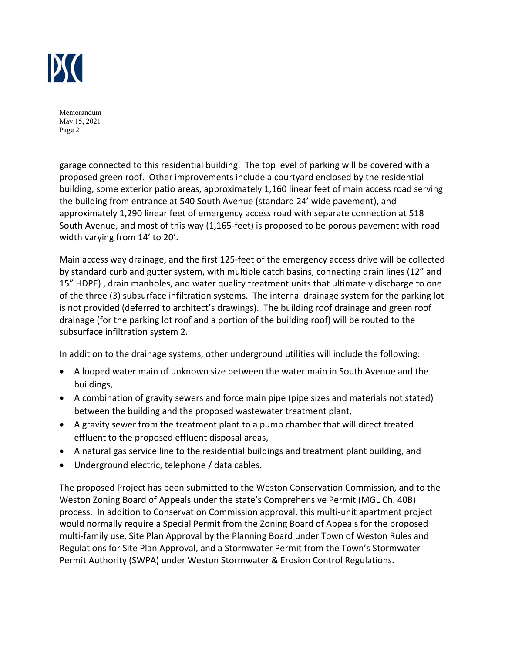

garage connected to this residential building. The top level of parking will be covered with a proposed green roof. Other improvements include a courtyard enclosed by the residential building, some exterior patio areas, approximately 1,160 linear feet of main access road serving the building from entrance at 540 South Avenue (standard 24' wide pavement), and approximately 1,290 linear feet of emergency access road with separate connection at 518 South Avenue, and most of this way (1,165‐feet) is proposed to be porous pavement with road width varying from 14' to 20'.

Main access way drainage, and the first 125‐feet of the emergency access drive will be collected by standard curb and gutter system, with multiple catch basins, connecting drain lines (12" and 15" HDPE) , drain manholes, and water quality treatment units that ultimately discharge to one of the three (3) subsurface infiltration systems. The internal drainage system for the parking lot is not provided (deferred to architect's drawings). The building roof drainage and green roof drainage (for the parking lot roof and a portion of the building roof) will be routed to the subsurface infiltration system 2.

In addition to the drainage systems, other underground utilities will include the following:

- A looped water main of unknown size between the water main in South Avenue and the buildings,
- A combination of gravity sewers and force main pipe (pipe sizes and materials not stated) between the building and the proposed wastewater treatment plant,
- A gravity sewer from the treatment plant to a pump chamber that will direct treated effluent to the proposed effluent disposal areas,
- A natural gas service line to the residential buildings and treatment plant building, and
- Underground electric, telephone / data cables.

The proposed Project has been submitted to the Weston Conservation Commission, and to the Weston Zoning Board of Appeals under the state's Comprehensive Permit (MGL Ch. 40B) process. In addition to Conservation Commission approval, this multi-unit apartment project would normally require a Special Permit from the Zoning Board of Appeals for the proposed multi-family use, Site Plan Approval by the Planning Board under Town of Weston Rules and Regulations for Site Plan Approval, and a Stormwater Permit from the Town's Stormwater Permit Authority (SWPA) under Weston Stormwater & Erosion Control Regulations.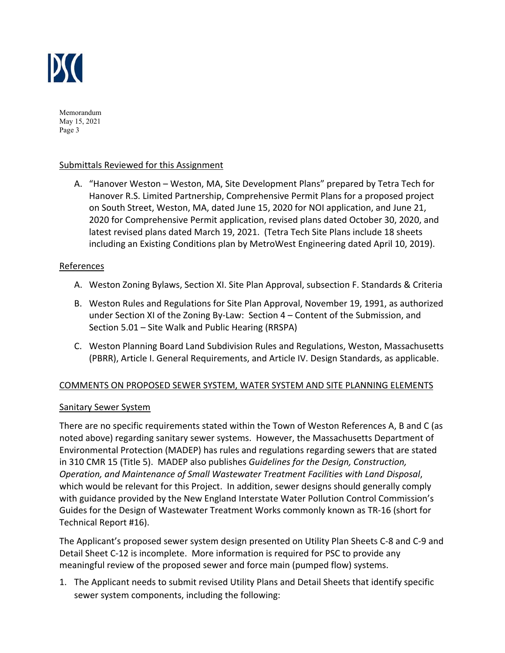

### Submittals Reviewed for this Assignment

A. "Hanover Weston – Weston, MA, Site Development Plans" prepared by Tetra Tech for Hanover R.S. Limited Partnership, Comprehensive Permit Plans for a proposed project on South Street, Weston, MA, dated June 15, 2020 for NOI application, and June 21, 2020 for Comprehensive Permit application, revised plans dated October 30, 2020, and latest revised plans dated March 19, 2021. (Tetra Tech Site Plans include 18 sheets including an Existing Conditions plan by MetroWest Engineering dated April 10, 2019).

#### References

- A. Weston Zoning Bylaws, Section XI. Site Plan Approval, subsection F. Standards & Criteria
- B. Weston Rules and Regulations for Site Plan Approval, November 19, 1991, as authorized under Section XI of the Zoning By-Law: Section 4 – Content of the Submission, and Section 5.01 – Site Walk and Public Hearing (RRSPA)
- C. Weston Planning Board Land Subdivision Rules and Regulations, Weston, Massachusetts (PBRR), Article I. General Requirements, and Article IV. Design Standards, as applicable.

## COMMENTS ON PROPOSED SEWER SYSTEM, WATER SYSTEM AND SITE PLANNING ELEMENTS

#### Sanitary Sewer System

There are no specific requirements stated within the Town of Weston References A, B and C (as noted above) regarding sanitary sewer systems. However, the Massachusetts Department of Environmental Protection (MADEP) has rules and regulations regarding sewers that are stated in 310 CMR 15 (Title 5). MADEP also publishes *Guidelines for the Design, Construction, Operation, and Maintenance of Small Wastewater Treatment Facilities with Land Disposal*, which would be relevant for this Project. In addition, sewer designs should generally comply with guidance provided by the New England Interstate Water Pollution Control Commission's Guides for the Design of Wastewater Treatment Works commonly known as TR‐16 (short for Technical Report #16).

The Applicant's proposed sewer system design presented on Utility Plan Sheets C‐8 and C‐9 and Detail Sheet C‐12 is incomplete. More information is required for PSC to provide any meaningful review of the proposed sewer and force main (pumped flow) systems.

1. The Applicant needs to submit revised Utility Plans and Detail Sheets that identify specific sewer system components, including the following: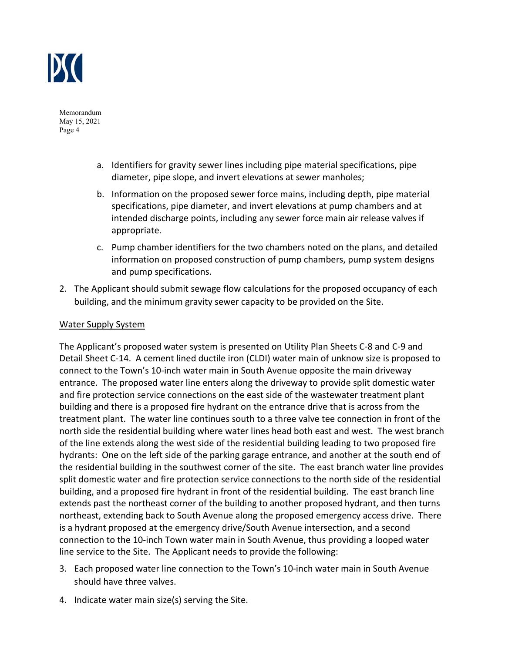

- a. Identifiers for gravity sewer lines including pipe material specifications, pipe diameter, pipe slope, and invert elevations at sewer manholes;
- b. Information on the proposed sewer force mains, including depth, pipe material specifications, pipe diameter, and invert elevations at pump chambers and at intended discharge points, including any sewer force main air release valves if appropriate.
- c. Pump chamber identifiers for the two chambers noted on the plans, and detailed information on proposed construction of pump chambers, pump system designs and pump specifications.
- 2. The Applicant should submit sewage flow calculations for the proposed occupancy of each building, and the minimum gravity sewer capacity to be provided on the Site.

### Water Supply System

The Applicant's proposed water system is presented on Utility Plan Sheets C‐8 and C‐9 and Detail Sheet C‐14. A cement lined ductile iron (CLDI) water main of unknow size is proposed to connect to the Town's 10‐inch water main in South Avenue opposite the main driveway entrance. The proposed water line enters along the driveway to provide split domestic water and fire protection service connections on the east side of the wastewater treatment plant building and there is a proposed fire hydrant on the entrance drive that is across from the treatment plant. The water line continues south to a three valve tee connection in front of the north side the residential building where water lines head both east and west. The west branch of the line extends along the west side of the residential building leading to two proposed fire hydrants: One on the left side of the parking garage entrance, and another at the south end of the residential building in the southwest corner of the site. The east branch water line provides split domestic water and fire protection service connections to the north side of the residential building, and a proposed fire hydrant in front of the residential building. The east branch line extends past the northeast corner of the building to another proposed hydrant, and then turns northeast, extending back to South Avenue along the proposed emergency access drive. There is a hydrant proposed at the emergency drive/South Avenue intersection, and a second connection to the 10‐inch Town water main in South Avenue, thus providing a looped water line service to the Site. The Applicant needs to provide the following:

- 3. Each proposed water line connection to the Town's 10‐inch water main in South Avenue should have three valves.
- 4. Indicate water main size(s) serving the Site.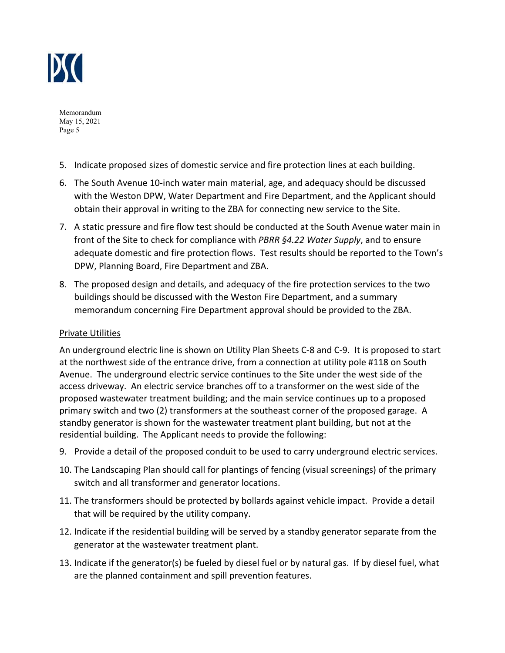

- 5. Indicate proposed sizes of domestic service and fire protection lines at each building.
- 6. The South Avenue 10‐inch water main material, age, and adequacy should be discussed with the Weston DPW, Water Department and Fire Department, and the Applicant should obtain their approval in writing to the ZBA for connecting new service to the Site.
- 7. A static pressure and fire flow test should be conducted at the South Avenue water main in front of the Site to check for compliance with *PBRR §4.22 Water Supply*, and to ensure adequate domestic and fire protection flows. Test results should be reported to the Town's DPW, Planning Board, Fire Department and ZBA.
- 8. The proposed design and details, and adequacy of the fire protection services to the two buildings should be discussed with the Weston Fire Department, and a summary memorandum concerning Fire Department approval should be provided to the ZBA.

#### Private Utilities

An underground electric line is shown on Utility Plan Sheets C‐8 and C‐9. It is proposed to start at the northwest side of the entrance drive, from a connection at utility pole #118 on South Avenue. The underground electric service continues to the Site under the west side of the access driveway. An electric service branches off to a transformer on the west side of the proposed wastewater treatment building; and the main service continues up to a proposed primary switch and two (2) transformers at the southeast corner of the proposed garage. A standby generator is shown for the wastewater treatment plant building, but not at the residential building. The Applicant needs to provide the following:

- 9. Provide a detail of the proposed conduit to be used to carry underground electric services.
- 10. The Landscaping Plan should call for plantings of fencing (visual screenings) of the primary switch and all transformer and generator locations.
- 11. The transformers should be protected by bollards against vehicle impact. Provide a detail that will be required by the utility company.
- 12. Indicate if the residential building will be served by a standby generator separate from the generator at the wastewater treatment plant.
- 13. Indicate if the generator(s) be fueled by diesel fuel or by natural gas. If by diesel fuel, what are the planned containment and spill prevention features.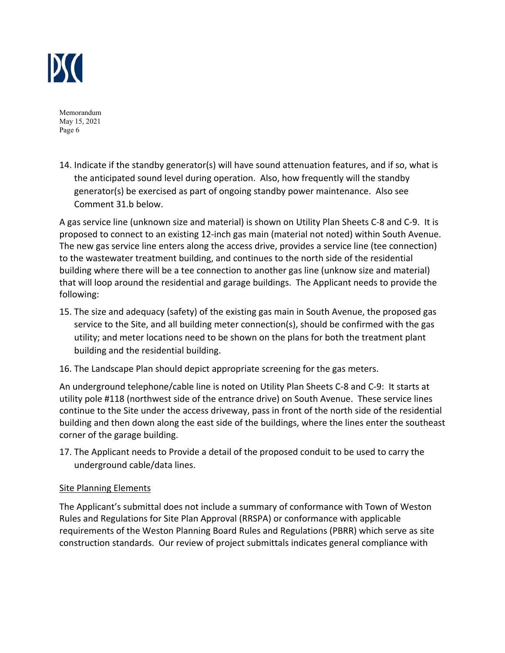

14. Indicate if the standby generator(s) will have sound attenuation features, and if so, what is the anticipated sound level during operation. Also, how frequently will the standby generator(s) be exercised as part of ongoing standby power maintenance. Also see Comment 31.b below.

A gas service line (unknown size and material) is shown on Utility Plan Sheets C‐8 and C‐9. It is proposed to connect to an existing 12‐inch gas main (material not noted) within South Avenue. The new gas service line enters along the access drive, provides a service line (tee connection) to the wastewater treatment building, and continues to the north side of the residential building where there will be a tee connection to another gas line (unknow size and material) that will loop around the residential and garage buildings. The Applicant needs to provide the following:

- 15. The size and adequacy (safety) of the existing gas main in South Avenue, the proposed gas service to the Site, and all building meter connection(s), should be confirmed with the gas utility; and meter locations need to be shown on the plans for both the treatment plant building and the residential building.
- 16. The Landscape Plan should depict appropriate screening for the gas meters.

An underground telephone/cable line is noted on Utility Plan Sheets C‐8 and C‐9: It starts at utility pole #118 (northwest side of the entrance drive) on South Avenue. These service lines continue to the Site under the access driveway, pass in front of the north side of the residential building and then down along the east side of the buildings, where the lines enter the southeast corner of the garage building.

17. The Applicant needs to Provide a detail of the proposed conduit to be used to carry the underground cable/data lines.

## Site Planning Elements

The Applicant's submittal does not include a summary of conformance with Town of Weston Rules and Regulations for Site Plan Approval (RRSPA) or conformance with applicable requirements of the Weston Planning Board Rules and Regulations (PBRR) which serve as site construction standards. Our review of project submittals indicates general compliance with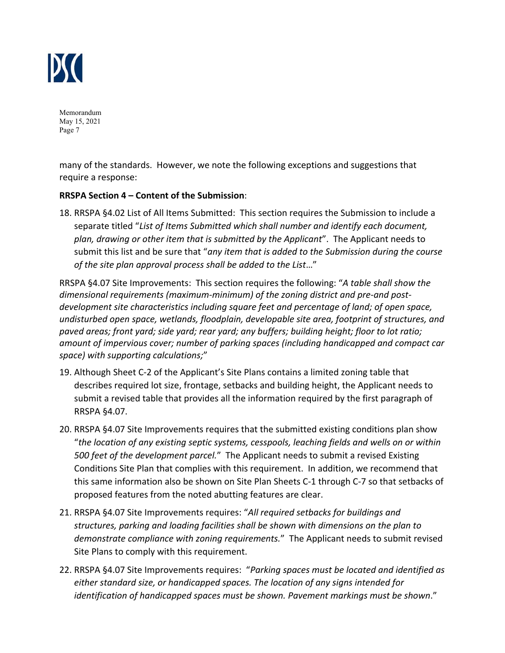

many of the standards. However, we note the following exceptions and suggestions that require a response:

#### **RRSPA Section 4 – Content of the Submission**:

18. RRSPA §4.02 List of All Items Submitted: This section requires the Submission to include a separate titled "*List of Items Submitted which shall number and identify each document, plan, drawing or other item that is submitted by the Applicant*". The Applicant needs to submit this list and be sure that "*any item that is added to the Submission during the course of the site plan approval process shall be added to the List*…"

RRSPA §4.07 Site Improvements: This section requires the following: "*A table shall show the dimensional requirements (maximum‐minimum) of the zoning district and pre‐and post‐ development site characteristics including square feet and percentage of land; of open space, undisturbed open space, wetlands, floodplain, developable site area, footprint of structures, and paved areas; front yard; side yard; rear yard; any buffers; building height; floor to lot ratio; amount of impervious cover; number of parking spaces (including handicapped and compact car space) with supporting calculations;*"

- 19. Although Sheet C-2 of the Applicant's Site Plans contains a limited zoning table that describes required lot size, frontage, setbacks and building height, the Applicant needs to submit a revised table that provides all the information required by the first paragraph of RRSPA §4.07.
- 20. RRSPA §4.07 Site Improvements requires that the submitted existing conditions plan show "*the location of any existing septic systems, cesspools, leaching fields and wells on or within 500 feet of the development parcel.*" The Applicant needs to submit a revised Existing Conditions Site Plan that complies with this requirement. In addition, we recommend that this same information also be shown on Site Plan Sheets C‐1 through C‐7 so that setbacks of proposed features from the noted abutting features are clear.
- 21. RRSPA §4.07 Site Improvements requires: "*All required setbacks for buildings and structures, parking and loading facilities shall be shown with dimensions on the plan to demonstrate compliance with zoning requirements.*" The Applicant needs to submit revised Site Plans to comply with this requirement.
- 22. RRSPA §4.07 Site Improvements requires: "*Parking spaces must be located and identified as either standard size, or handicapped spaces. The location of any signs intended for identification of handicapped spaces must be shown. Pavement markings must be shown*."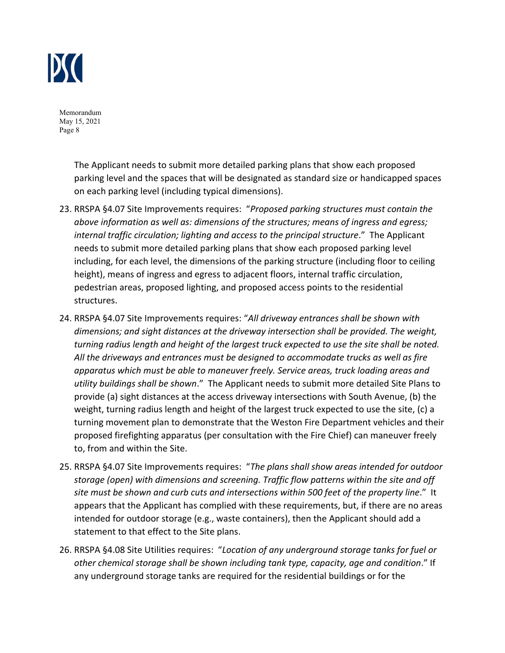

> The Applicant needs to submit more detailed parking plans that show each proposed parking level and the spaces that will be designated as standard size or handicapped spaces on each parking level (including typical dimensions).

- 23. RRSPA §4.07 Site Improvements requires: "*Proposed parking structures must contain the above information as well as: dimensions of the structures; means of ingress and egress; internal traffic circulation; lighting and access to the principal structure*." The Applicant needs to submit more detailed parking plans that show each proposed parking level including, for each level, the dimensions of the parking structure (including floor to ceiling height), means of ingress and egress to adjacent floors, internal traffic circulation, pedestrian areas, proposed lighting, and proposed access points to the residential structures.
- 24. RRSPA §4.07 Site Improvements requires: "*All driveway entrances shall be shown with dimensions; and sight distances at the driveway intersection shall be provided. The weight, turning radius length and height of the largest truck expected to use the site shall be noted. All the driveways and entrances must be designed to accommodate trucks as well as fire apparatus which must be able to maneuver freely. Service areas, truck loading areas and utility buildings shall be shown*." The Applicant needs to submit more detailed Site Plans to provide (a) sight distances at the access driveway intersections with South Avenue, (b) the weight, turning radius length and height of the largest truck expected to use the site, (c) a turning movement plan to demonstrate that the Weston Fire Department vehicles and their proposed firefighting apparatus (per consultation with the Fire Chief) can maneuver freely to, from and within the Site.
- 25. RRSPA §4.07 Site Improvements requires: "*The plans shall show areas intended for outdoor storage (open) with dimensions and screening. Traffic flow patterns within the site and off site must be shown and curb cuts and intersections within 500 feet of the property line*." It appears that the Applicant has complied with these requirements, but, if there are no areas intended for outdoor storage (e.g., waste containers), then the Applicant should add a statement to that effect to the Site plans.
- 26. RRSPA §4.08 Site Utilities requires: "*Location of any underground storage tanks for fuel or other chemical storage shall be shown including tank type, capacity, age and condition*." If any underground storage tanks are required for the residential buildings or for the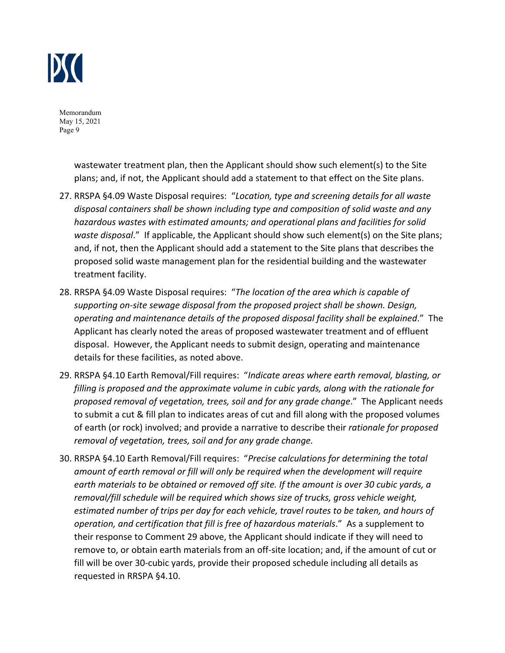

> wastewater treatment plan, then the Applicant should show such element(s) to the Site plans; and, if not, the Applicant should add a statement to that effect on the Site plans.

- 27. RRSPA §4.09 Waste Disposal requires: "*Location, type and screening details for all waste disposal containers shall be shown including type and composition of solid waste and any hazardous wastes with estimated amounts; and operational plans and facilities for solid waste disposal*." If applicable, the Applicant should show such element(s) on the Site plans; and, if not, then the Applicant should add a statement to the Site plans that describes the proposed solid waste management plan for the residential building and the wastewater treatment facility.
- 28. RRSPA §4.09 Waste Disposal requires: "*The location of the area which is capable of supporting on‐site sewage disposal from the proposed project shall be shown. Design, operating and maintenance details of the proposed disposal facility shall be explained*." The Applicant has clearly noted the areas of proposed wastewater treatment and of effluent disposal. However, the Applicant needs to submit design, operating and maintenance details for these facilities, as noted above.
- 29. RRSPA §4.10 Earth Removal/Fill requires: "*Indicate areas where earth removal, blasting, or filling is proposed and the approximate volume in cubic yards, along with the rationale for proposed removal of vegetation, trees, soil and for any grade change*." The Applicant needs to submit a cut & fill plan to indicates areas of cut and fill along with the proposed volumes of earth (or rock) involved; and provide a narrative to describe their *rationale for proposed removal of vegetation, trees, soil and for any grade change.*
- 30. RRSPA §4.10 Earth Removal/Fill requires: "*Precise calculations for determining the total amount of earth removal or fill will only be required when the development will require earth materials to be obtained or removed off site. If the amount is over 30 cubic yards, a removal/fill schedule will be required which shows size of trucks, gross vehicle weight, estimated number of trips per day for each vehicle, travel routes to be taken, and hours of operation, and certification that fill is free of hazardous materials*." As a supplement to their response to Comment 29 above, the Applicant should indicate if they will need to remove to, or obtain earth materials from an off‐site location; and, if the amount of cut or fill will be over 30-cubic yards, provide their proposed schedule including all details as requested in RRSPA §4.10.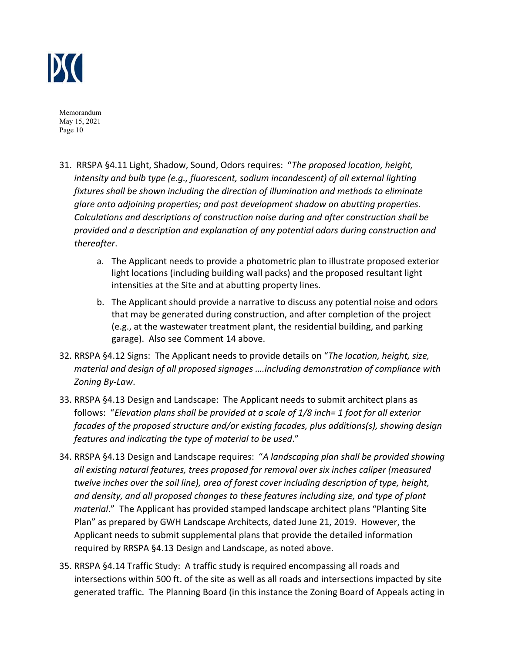

- 31. RRSPA §4.11 Light, Shadow, Sound, Odors requires: "*The proposed location, height, intensity and bulb type (e.g., fluorescent, sodium incandescent) of all external lighting fixtures shall be shown including the direction of illumination and methods to eliminate glare onto adjoining properties; and post development shadow on abutting properties. Calculations and descriptions of construction noise during and after construction shall be provided and a description and explanation of any potential odors during construction and thereafter*.
	- a. The Applicant needs to provide a photometric plan to illustrate proposed exterior light locations (including building wall packs) and the proposed resultant light intensities at the Site and at abutting property lines.
	- b. The Applicant should provide a narrative to discuss any potential noise and odors that may be generated during construction, and after completion of the project (e.g., at the wastewater treatment plant, the residential building, and parking garage). Also see Comment 14 above.
- 32. RRSPA §4.12 Signs: The Applicant needs to provide details on "*The location, height, size, material and design of all proposed signages ….including demonstration of compliance with Zoning By‐Law*.
- 33. RRSPA §4.13 Design and Landscape: The Applicant needs to submit architect plans as follows: "*Elevation plans shall be provided at a scale of 1/8 inch= 1 foot for all exterior facades of the proposed structure and/or existing facades, plus additions(s), showing design features and indicating the type of material to be used*."
- 34. RRSPA §4.13 Design and Landscape requires: "*A landscaping plan shall be provided showing all existing natural features, trees proposed for removal over six inches caliper (measured twelve inches over the soil line), area of forest cover including description of type, height, and density, and all proposed changes to these features including size, and type of plant material*." The Applicant has provided stamped landscape architect plans "Planting Site Plan" as prepared by GWH Landscape Architects, dated June 21, 2019. However, the Applicant needs to submit supplemental plans that provide the detailed information required by RRSPA §4.13 Design and Landscape, as noted above.
- 35. RRSPA §4.14 Traffic Study: A traffic study is required encompassing all roads and intersections within 500 ft. of the site as well as all roads and intersections impacted by site generated traffic. The Planning Board (in this instance the Zoning Board of Appeals acting in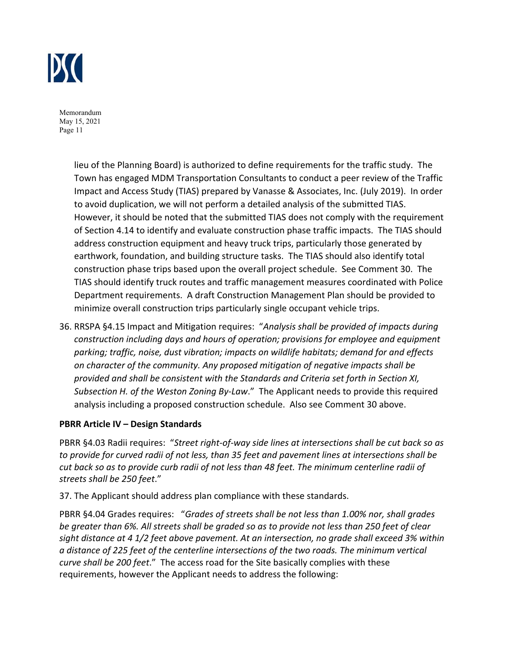

> lieu of the Planning Board) is authorized to define requirements for the traffic study. The Town has engaged MDM Transportation Consultants to conduct a peer review of the Traffic Impact and Access Study (TIAS) prepared by Vanasse & Associates, Inc. (July 2019). In order to avoid duplication, we will not perform a detailed analysis of the submitted TIAS. However, it should be noted that the submitted TIAS does not comply with the requirement of Section 4.14 to identify and evaluate construction phase traffic impacts. The TIAS should address construction equipment and heavy truck trips, particularly those generated by earthwork, foundation, and building structure tasks. The TIAS should also identify total construction phase trips based upon the overall project schedule. See Comment 30. The TIAS should identify truck routes and traffic management measures coordinated with Police Department requirements. A draft Construction Management Plan should be provided to minimize overall construction trips particularly single occupant vehicle trips.

36. RRSPA §4.15 Impact and Mitigation requires: "*Analysis shall be provided of impacts during construction including days and hours of operation; provisions for employee and equipment parking; traffic, noise, dust vibration; impacts on wildlife habitats; demand for and effects on character of the community. Any proposed mitigation of negative impacts shall be provided and shall be consistent with the Standards and Criteria set forth in Section XI, Subsection H. of the Weston Zoning By‐Law*." The Applicant needs to provide this required analysis including a proposed construction schedule. Also see Comment 30 above.

#### **PBRR Article IV – Design Standards**

PBRR §4.03 Radii requires: "*Street right‐of‐way side lines at intersections shall be cut back so as to provide for curved radii of not less, than 35 feet and pavement lines at intersections shall be cut back so as to provide curb radii of not less than 48 feet. The minimum centerline radii of streets shall be 250 feet*."

37. The Applicant should address plan compliance with these standards.

PBRR §4.04 Grades requires: "*Grades of streets shall be not less than 1.00% nor, shall grades be greater than 6%. All streets shall be graded so as to provide not less than 250 feet of clear sight distance at 4 1/2 feet above pavement. At an intersection, no grade shall exceed 3% within a distance of 225 feet of the centerline intersections of the two roads. The minimum vertical curve shall be 200 feet*." The access road for the Site basically complies with these requirements, however the Applicant needs to address the following: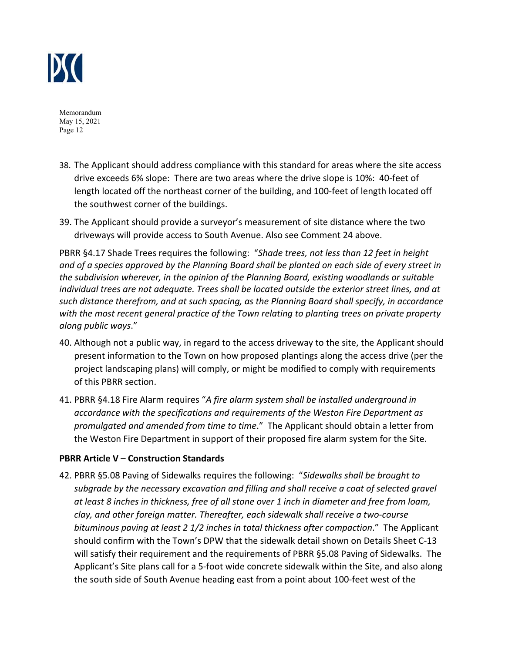

- 38. The Applicant should address compliance with this standard for areas where the site access drive exceeds 6% slope: There are two areas where the drive slope is 10%: 40‐feet of length located off the northeast corner of the building, and 100‐feet of length located off the southwest corner of the buildings.
- 39. The Applicant should provide a surveyor's measurement of site distance where the two driveways will provide access to South Avenue. Also see Comment 24 above.

PBRR §4.17 Shade Trees requires the following: "*Shade trees, not less than 12 feet in height and of a species approved by the Planning Board shall be planted on each side of every street in the subdivision wherever, in the opinion of the Planning Board, existing woodlands or suitable individual trees are not adequate. Trees shall be located outside the exterior street lines, and at such distance therefrom, and at such spacing, as the Planning Board shall specify, in accordance with the most recent general practice of the Town relating to planting trees on private property along public ways*."

- 40. Although not a public way, in regard to the access driveway to the site, the Applicant should present information to the Town on how proposed plantings along the access drive (per the project landscaping plans) will comply, or might be modified to comply with requirements of this PBRR section.
- 41. PBRR §4.18 Fire Alarm requires "*A fire alarm system shall be installed underground in accordance with the specifications and requirements of the Weston Fire Department as promulgated and amended from time to time*." The Applicant should obtain a letter from the Weston Fire Department in support of their proposed fire alarm system for the Site.

## **PBRR Article V – Construction Standards**

42. PBRR §5.08 Paving of Sidewalks requires the following: "*Sidewalks shall be brought to*  subgrade by the necessary excavation and filling and shall receive a coat of selected gravel *at least 8 inches in thickness, free of all stone over 1 inch in diameter and free from loam, clay, and other foreign matter. Thereafter, each sidewalk shall receive a two‐course bituminous paving at least 2 1/2 inches in total thickness after compaction*." The Applicant should confirm with the Town's DPW that the sidewalk detail shown on Details Sheet C‐13 will satisfy their requirement and the requirements of PBRR §5.08 Paving of Sidewalks. The Applicant's Site plans call for a 5‐foot wide concrete sidewalk within the Site, and also along the south side of South Avenue heading east from a point about 100‐feet west of the